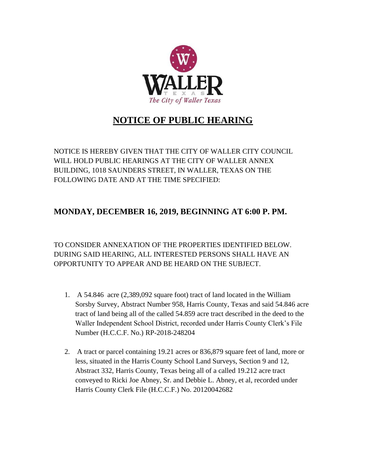

## **NOTICE OF PUBLIC HEARING**

NOTICE IS HEREBY GIVEN THAT THE CITY OF WALLER CITY COUNCIL WILL HOLD PUBLIC HEARINGS AT THE CITY OF WALLER ANNEX BUILDING, 1018 SAUNDERS STREET, IN WALLER, TEXAS ON THE FOLLOWING DATE AND AT THE TIME SPECIFIED:

## **MONDAY, DECEMBER 16, 2019, BEGINNING AT 6:00 P. PM.**

TO CONSIDER ANNEXATION OF THE PROPERTIES IDENTIFIED BELOW. DURING SAID HEARING, ALL INTERESTED PERSONS SHALL HAVE AN OPPORTUNITY TO APPEAR AND BE HEARD ON THE SUBJECT.

- 1. A 54.846 acre (2,389,092 square foot) tract of land located in the William Sorsby Survey, Abstract Number 958, Harris County, Texas and said 54.846 acre tract of land being all of the called 54.859 acre tract described in the deed to the Waller Independent School District, recorded under Harris County Clerk's File Number (H.C.C.F. No.) RP-2018-248204
- 2. A tract or parcel containing 19.21 acres or 836,879 square feet of land, more or less, situated in the Harris County School Land Surveys, Section 9 and 12, Abstract 332, Harris County, Texas being all of a called 19.212 acre tract conveyed to Ricki Joe Abney, Sr. and Debbie L. Abney, et al, recorded under Harris County Clerk File (H.C.C.F.) No. 20120042682